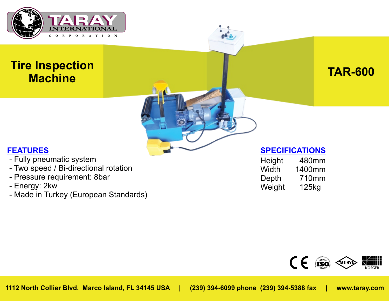

# **Tire Inspection Machine TAR-600**

## **FEATURES**

- Fully pneumatic system
- Two speed / Bi-directional rotation
- Pressure requirement: 8bar
- Energy: 2kw
- Made in Turkey (European Standards)

| Height | 480mm  |
|--------|--------|
| Width  | 1400mm |
| Depth  | 710mm  |
| Weight | 125kg  |

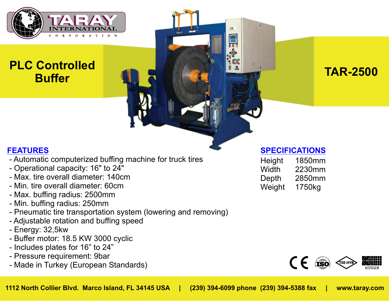

# **PLC Controlled Buffer Continuing to the second of the second second second in the second second second second second second second second second second second second second second second second second second second second second secon**

## **FEATURES**

- Automatic computerized buffing machine for truck tires
- Operational capacity: 16" to 24"
- Max. tire overall diameter: 140cm
- Min. tire overall diameter: 60cm
- Max. buffing radius: 2500mm
- Min. buffing radius: 250mm
- Pneumatic tire transportation system (lowering and removing)
- Adjustable rotation and buffing speed
- Energy: 32,5kw
- Buffer motor: 18.5 KW 3000 cyclic
- Includes plates for 16" to 24"
- Pressure requirement: 9bar
- Made in Turkey (European Standards)

| 1850mm |
|--------|
| 2230mm |
| 2850mm |
| 1750kg |
|        |

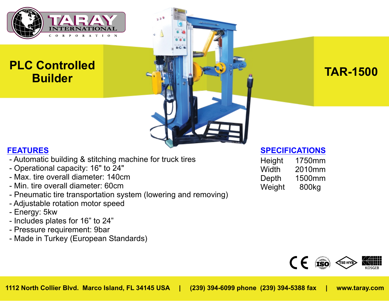

# **PLC Controlled Builder Report Follows TAR-1500**

## **FEATURES**

- Automatic building & stitching machine for truck tires
- Operational capacity: 16" to 24"
- Max. tire overall diameter: 140cm
- Min. tire overall diameter: 60cm
- Pneumatic tire transportation system (lowering and removing)
- Adjustable rotation motor speed
- Energy: 5kw
- Includes plates for 16" to 24"
- Pressure requirement: 9bar
- Made in Turkey (European Standards)

| 1750mm |
|--------|
| 2010mm |
| 1500mm |
| 800kg  |
|        |

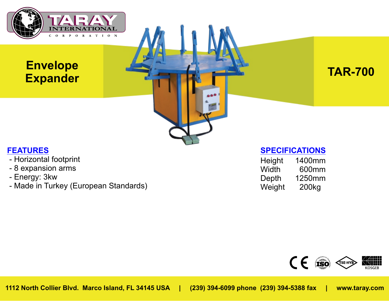

## **Envelope Expander TAR-700**



#### **FEATURES**

- Horizontal footprint
- 8 expansion arms
- Energy: 3kw
- Made in Turkey (European Standards)

| 1400mm            |
|-------------------|
| 600mm             |
| 1250mm            |
| 200 <sub>kg</sub> |
|                   |

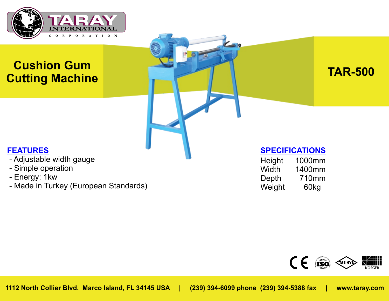

# **Cushion Gum Cutting Machine TAR-500**

## **FEATURES**

- Adjustable width gauge
- Simple operation
- Energy: 1kw
- Made in Turkey (European Standards)

| 1000mm |
|--------|
| 1400mm |
| 710mm  |
| 60kg   |
|        |

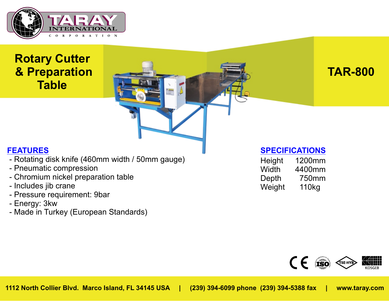

## **Rotary Cutter & Preparation Table**

**TAR-800**

## **FEATURES**

- Rotating disk knife (460mm width / 50mm gauge)
- Pneumatic compression
- Chromium nickel preparation table
- Includes jib crane
- Pressure requirement: 9bar
- Energy: 3kw
- Made in Turkey (European Standards)

| Height | 1200mm |
|--------|--------|
| Width  | 4400mm |
| Depth  | 750mm  |
| Weight | 110kg  |